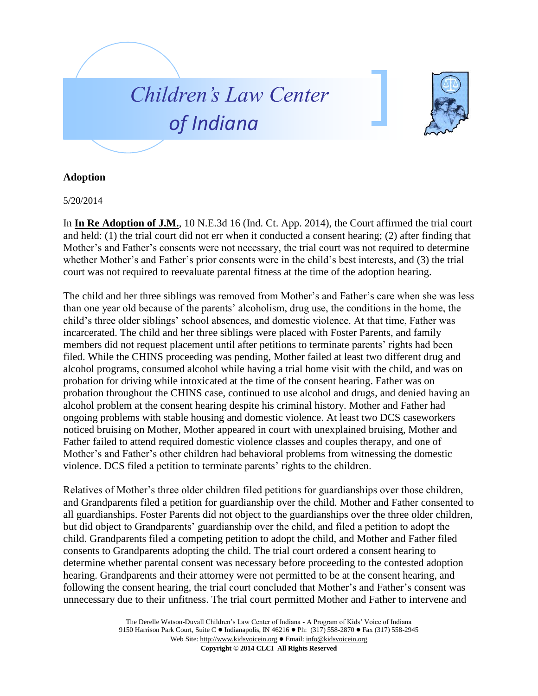



## **Adoption**

5/20/2014

In **In Re Adoption of J.M.**, 10 N.E.3d 16 (Ind. Ct. App. 2014), the Court affirmed the trial court and held: (1) the trial court did not err when it conducted a consent hearing; (2) after finding that Mother's and Father's consents were not necessary, the trial court was not required to determine whether Mother's and Father's prior consents were in the child's best interests, and (3) the trial court was not required to reevaluate parental fitness at the time of the adoption hearing.

The child and her three siblings was removed from Mother's and Father's care when she was less than one year old because of the parents' alcoholism, drug use, the conditions in the home, the child's three older siblings' school absences, and domestic violence. At that time, Father was incarcerated. The child and her three siblings were placed with Foster Parents, and family members did not request placement until after petitions to terminate parents' rights had been filed. While the CHINS proceeding was pending, Mother failed at least two different drug and alcohol programs, consumed alcohol while having a trial home visit with the child, and was on probation for driving while intoxicated at the time of the consent hearing. Father was on probation throughout the CHINS case, continued to use alcohol and drugs, and denied having an alcohol problem at the consent hearing despite his criminal history. Mother and Father had ongoing problems with stable housing and domestic violence. At least two DCS caseworkers noticed bruising on Mother, Mother appeared in court with unexplained bruising, Mother and Father failed to attend required domestic violence classes and couples therapy, and one of Mother's and Father's other children had behavioral problems from witnessing the domestic violence. DCS filed a petition to terminate parents' rights to the children.

Relatives of Mother's three older children filed petitions for guardianships over those children, and Grandparents filed a petition for guardianship over the child. Mother and Father consented to all guardianships. Foster Parents did not object to the guardianships over the three older children, but did object to Grandparents' guardianship over the child, and filed a petition to adopt the child. Grandparents filed a competing petition to adopt the child, and Mother and Father filed consents to Grandparents adopting the child. The trial court ordered a consent hearing to determine whether parental consent was necessary before proceeding to the contested adoption hearing. Grandparents and their attorney were not permitted to be at the consent hearing, and following the consent hearing, the trial court concluded that Mother's and Father's consent was unnecessary due to their unfitness. The trial court permitted Mother and Father to intervene and

> The Derelle Watson-Duvall Children's Law Center of Indiana - A Program of Kids' Voice of Indiana 9150 Harrison Park Court, Suite C · Indianapolis, IN 46216 • Ph: (317) 558-2870 • Fax (317) 558-2945 Web Site: http://www.kidsvoicein.org • Email: info@kidsvoicein.org **Copyright © 2014 CLCI All Rights Reserved**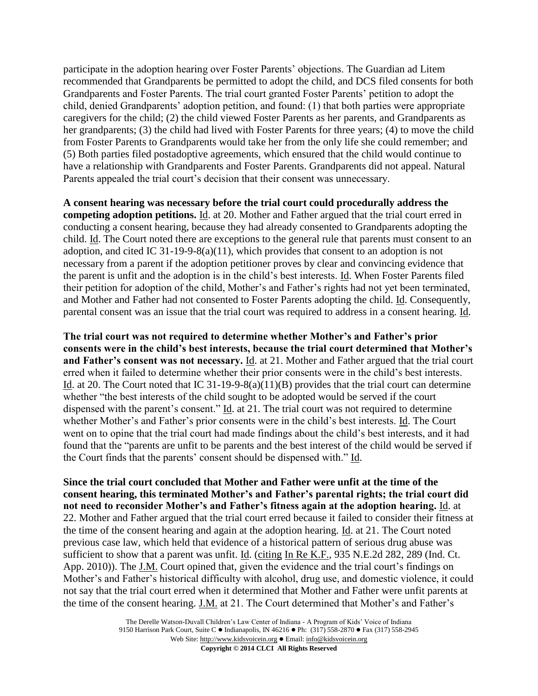participate in the adoption hearing over Foster Parents' objections. The Guardian ad Litem recommended that Grandparents be permitted to adopt the child, and DCS filed consents for both Grandparents and Foster Parents. The trial court granted Foster Parents' petition to adopt the child, denied Grandparents' adoption petition, and found: (1) that both parties were appropriate caregivers for the child; (2) the child viewed Foster Parents as her parents, and Grandparents as her grandparents; (3) the child had lived with Foster Parents for three years; (4) to move the child from Foster Parents to Grandparents would take her from the only life she could remember; and (5) Both parties filed postadoptive agreements, which ensured that the child would continue to have a relationship with Grandparents and Foster Parents. Grandparents did not appeal. Natural Parents appealed the trial court's decision that their consent was unnecessary.

**A consent hearing was necessary before the trial court could procedurally address the competing adoption petitions.** Id. at 20. Mother and Father argued that the trial court erred in conducting a consent hearing, because they had already consented to Grandparents adopting the child. Id. The Court noted there are exceptions to the general rule that parents must consent to an adoption, and cited IC 31-19-9-8(a)(11), which provides that consent to an adoption is not necessary from a parent if the adoption petitioner proves by clear and convincing evidence that the parent is unfit and the adoption is in the child's best interests. Id. When Foster Parents filed their petition for adoption of the child, Mother's and Father's rights had not yet been terminated, and Mother and Father had not consented to Foster Parents adopting the child. Id. Consequently, parental consent was an issue that the trial court was required to address in a consent hearing. Id.

**The trial court was not required to determine whether Mother's and Father's prior consents were in the child's best interests, because the trial court determined that Mother's and Father's consent was not necessary.** Id. at 21. Mother and Father argued that the trial court erred when it failed to determine whether their prior consents were in the child's best interests. Id. at 20. The Court noted that IC 31-19-9-8(a)(11)(B) provides that the trial court can determine whether "the best interests of the child sought to be adopted would be served if the court dispensed with the parent's consent." Id. at 21. The trial court was not required to determine whether Mother's and Father's prior consents were in the child's best interests. Id. The Court went on to opine that the trial court had made findings about the child's best interests, and it had found that the "parents are unfit to be parents and the best interest of the child would be served if the Court finds that the parents' consent should be dispensed with." Id.

**Since the trial court concluded that Mother and Father were unfit at the time of the consent hearing, this terminated Mother's and Father's parental rights; the trial court did not need to reconsider Mother's and Father's fitness again at the adoption hearing.** Id. at 22. Mother and Father argued that the trial court erred because it failed to consider their fitness at the time of the consent hearing and again at the adoption hearing. Id. at 21. The Court noted previous case law, which held that evidence of a historical pattern of serious drug abuse was sufficient to show that a parent was unfit. Id. (citing In Re K.F., 935 N.E.2d 282, 289 (Ind. Ct. App. 2010)). The J.M. Court opined that, given the evidence and the trial court's findings on Mother's and Father's historical difficulty with alcohol, drug use, and domestic violence, it could not say that the trial court erred when it determined that Mother and Father were unfit parents at the time of the consent hearing. J.M. at 21. The Court determined that Mother's and Father's